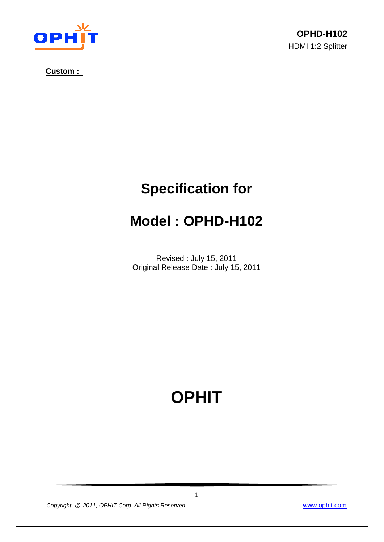

**Custom :** 

**OPHD-H102** HDMI 1:2 Splitter

# **Specification for**

## **Model : OPHD-H102**

Revised : July 15, 2011 Original Release Date : July 15, 2011

# **OPHIT**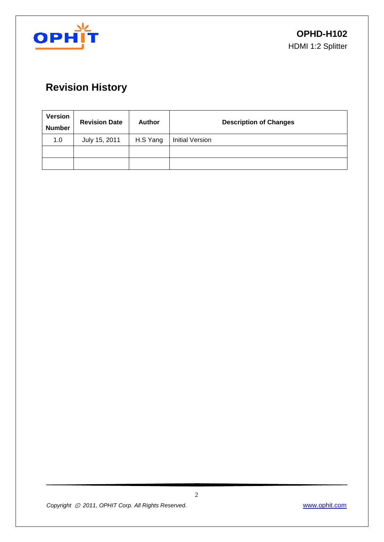

## **Revision History**

| <b>Version</b><br><b>Number</b> | <b>Revision Date</b> | <b>Author</b> | <b>Description of Changes</b> |
|---------------------------------|----------------------|---------------|-------------------------------|
| 1.0                             | July 15, 2011        | H.S Yang      | <b>Initial Version</b>        |
|                                 |                      |               |                               |
|                                 |                      |               |                               |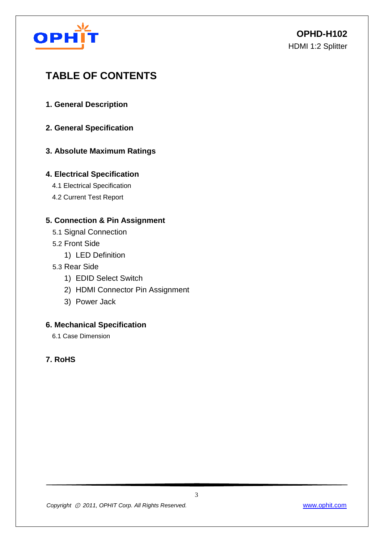

## **TABLE OF CONTENTS**

- **1. General Description**
- **2. General Specification**

#### **3. Absolute Maximum Ratings**

#### **4. Electrical Specification**

- 4.1 Electrical Specification
- 4.2 Current Test Report

#### **5. Connection & Pin Assignment**

- 5.1 Signal Connection
- 5.2 Front Side
	- 1) LED Definition
- 5.3 Rear Side
	- 1) EDID Select Switch
	- 2) HDMI Connector Pin Assignment
	- 3) Power Jack

#### **6. Mechanical Specification**

6.1 Case Dimension

#### **7. RoHS**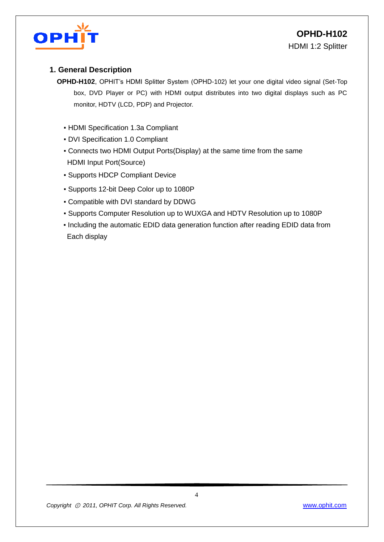

#### **1. General Description**

- **OPHD-H102**, OPHIT's HDMI Splitter System (OPHD-102) let your one digital video signal (Set-Top box, DVD Player or PC) with HDMI output distributes into two digital displays such as PC monitor, HDTV (LCD, PDP) and Projector.
	- HDMI Specification 1.3a Compliant
	- DVI Specification 1.0 Compliant
	- Connects two HDMI Output Ports(Display) at the same time from the same HDMI Input Port(Source)
	- Supports HDCP Compliant Device
	- Supports 12-bit Deep Color up to 1080P
	- Compatible with DVI standard by DDWG
	- Supports Computer Resolution up to WUXGA and HDTV Resolution up to 1080P
	- Including the automatic EDID data generation function after reading EDID data from Each display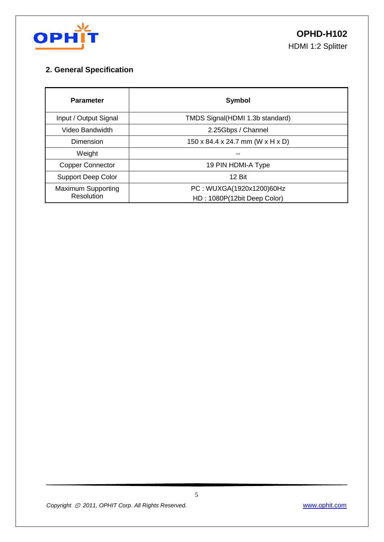

#### **2. General Specification**

| <b>Parameter</b>          | Symbol                                       |  |  |  |
|---------------------------|----------------------------------------------|--|--|--|
| Input / Output Signal     | TMDS Signal(HDMI 1.3b standard)              |  |  |  |
| Video Bandwidth           | 2.25Gbps / Channel                           |  |  |  |
| Dimension                 | $150 \times 84.4 \times 24.7$ mm (W x H x D) |  |  |  |
| Weight                    |                                              |  |  |  |
| <b>Copper Connector</b>   | 19 PIN HDMI-A Type                           |  |  |  |
| <b>Support Deep Color</b> | 12 Bit                                       |  |  |  |
| <b>Maximum Supporting</b> | PC: WUXGA(1920x1200)60Hz                     |  |  |  |
| Resolution                | HD: 1080P(12bit Deep Color)                  |  |  |  |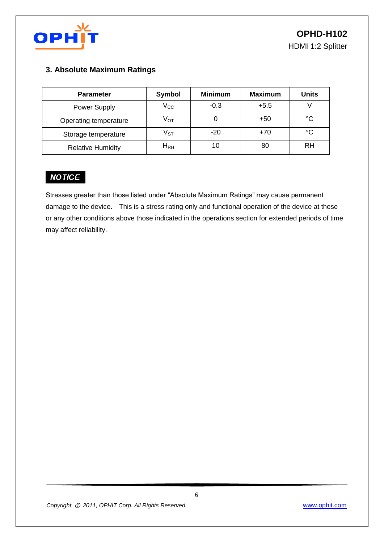

#### **3. Absolute Maximum Ratings**

| <b>Parameter</b>         | <b>Symbol</b>              | <b>Minimum</b> | <b>Maximum</b> | <b>Units</b> |
|--------------------------|----------------------------|----------------|----------------|--------------|
| Power Supply             | $\rm V_{CC}$               | $-0.3$         | $+5.5$         |              |
| Operating temperature    | $V_{\text{OT}}$            |                | $+50$          | °C           |
| Storage temperature      | $\mathsf{V}_{\texttt{ST}}$ | $-20$          | $+70$          | °C           |
| <b>Relative Humidity</b> | $H_{RH}$                   |                | 80             | RH           |

### **NOTICE**

Stresses greater than those listed under "Absolute Maximum Ratings" may cause permanent damage to the device. This is a stress rating only and functional operation of the device at these or any other conditions above those indicated in the operations section for extended periods of time may affect reliability.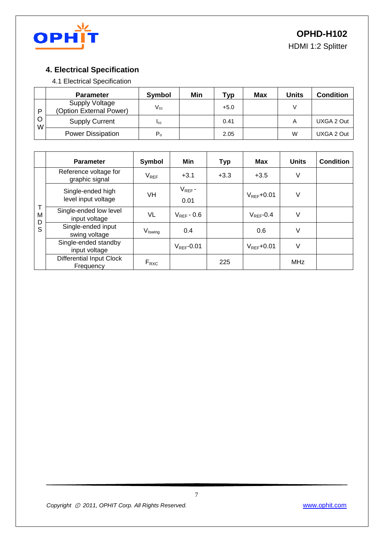

HDMI 1:2 Splitter

#### **4. Electrical Specification**

4.1 Electrical Specification

|        | <b>Parameter</b>                                 | Symbol      | Min | Typ    | Max | Units | <b>Condition</b> |
|--------|--------------------------------------------------|-------------|-----|--------|-----|-------|------------------|
| P      | <b>Supply Voltage</b><br>(Option External Power) | $V_{cc}$    |     | $+5.0$ |     |       |                  |
| O<br>W | <b>Supply Current</b>                            | <b>I</b> cc |     | 0.41   |     | A     | UXGA 2 Out       |
|        | <b>Power Dissipation</b>                         | $P_{o}$     |     | 2.05   |     | W     | UXGA 2 Out       |

|             | <b>Parameter</b>                             | Symbol              | Min                    | <b>Typ</b> | <b>Max</b>      | <b>Units</b> | <b>Condition</b> |
|-------------|----------------------------------------------|---------------------|------------------------|------------|-----------------|--------------|------------------|
|             | Reference voltage for<br>graphic signal      | $V_{REF}$           | $+3.1$                 | $+3.3$     | $+3.5$          | V            |                  |
|             | Single-ended high<br>level input voltage     | VH                  | $V_{REF}$ -<br>0.01    |            | $V_{RFF}$ +0.01 | $\vee$       |                  |
| M<br>D<br>S | Single-ended low level<br>input voltage      | VL                  | $V_{RFF}$ - 0.6        |            | $V_{REF}$ -0.4  | V            |                  |
|             | Single-ended input<br>swing voltage          | V <sub>Iswing</sub> | 0.4                    |            | 0.6             | V            |                  |
|             | Single-ended standby<br>input voltage        |                     | $V_{\text{RFF}}$ -0.01 |            | $V_{REF}$ +0.01 | V            |                  |
|             | <b>Differential Input Clock</b><br>Frequency | $F_{RXC}$           |                        | 225        |                 | <b>MHz</b>   |                  |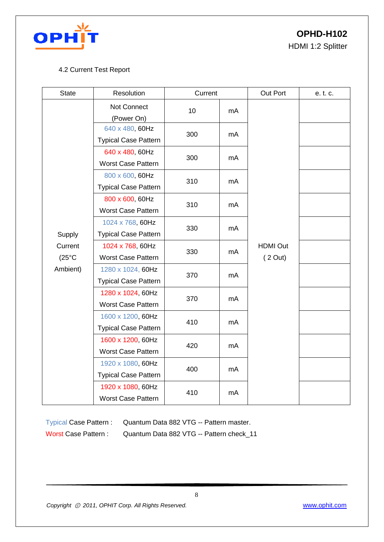

**OPHD-H102**

HDMI 1:2 Splitter

#### 4.2 Current Test Report

| <b>State</b>    | Resolution                                     | Current |    | Out Port                   | e. t. c. |
|-----------------|------------------------------------------------|---------|----|----------------------------|----------|
|                 | Not Connect                                    | 10      | mA |                            |          |
|                 | (Power On)<br>640 x 480, 60Hz                  |         |    |                            |          |
|                 | <b>Typical Case Pattern</b>                    | 300     | mA |                            |          |
|                 | 640 x 480, 60Hz                                |         | mA |                            |          |
|                 | <b>Worst Case Pattern</b>                      | 300     |    |                            |          |
|                 | 800 x 600, 60Hz                                |         |    |                            |          |
|                 | <b>Typical Case Pattern</b>                    | 310     | mA |                            |          |
|                 | 800 x 600, 60Hz                                |         |    |                            |          |
|                 | <b>Worst Case Pattern</b>                      | 310     | mA | <b>HDMI Out</b><br>(2 Out) |          |
|                 | 1024 x 768, 60Hz                               |         | mA |                            |          |
| Supply          | <b>Typical Case Pattern</b>                    | 330     |    |                            |          |
| Current         | 1024 x 768, 60Hz                               | 330     | mA |                            |          |
| $(25^{\circ}C)$ | <b>Worst Case Pattern</b>                      |         |    |                            |          |
| Ambient)        |                                                | 370     | mA |                            |          |
|                 | 1280 x 1024, 60Hz                              |         |    |                            |          |
|                 | <b>Typical Case Pattern</b>                    |         |    |                            |          |
|                 | 1280 x 1024, 60Hz                              | 370     | mA |                            |          |
|                 | Worst Case Pattern                             |         | mA |                            |          |
|                 | 1600 x 1200, 60Hz                              | 410     |    |                            |          |
|                 | <b>Typical Case Pattern</b>                    |         |    |                            |          |
|                 | 1600 x 1200, 60Hz<br><b>Worst Case Pattern</b> | 420     | mA |                            |          |
|                 |                                                |         | mA |                            |          |
|                 | 1920 x 1080, 60Hz                              | 400     |    |                            |          |
|                 | <b>Typical Case Pattern</b>                    |         |    |                            |          |
|                 | 1920 x 1080, 60Hz                              | 410     | mA |                            |          |
|                 | <b>Worst Case Pattern</b>                      |         |    |                            |          |

Typical Case Pattern : Quantum Data 882 VTG -- Pattern master.

Worst Case Pattern : Quantum Data 882 VTG -- Pattern check\_11

*Copyright* ⓒ *2011, OPHIT Corp. All Rights Reserved.* www.ophit.com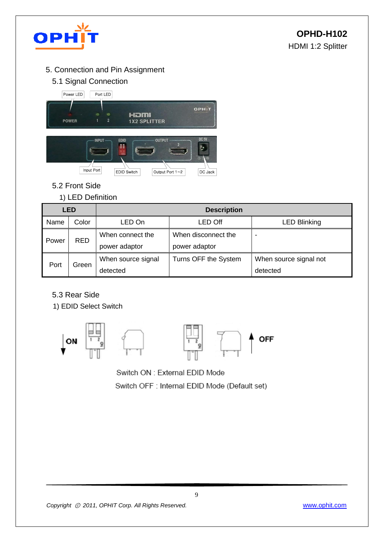

- 5. Connection and Pin Assignment
	- 5.1 Signal Connection



- 5.2 Front Side
	- 1) LED Definition

| <b>LED</b> |            | <b>Description</b> |                      |                          |  |  |
|------------|------------|--------------------|----------------------|--------------------------|--|--|
| Name       | Color      | LED On             | <b>LED Off</b>       | <b>LED Blinking</b>      |  |  |
| Power      | <b>RED</b> | When connect the   | When disconnect the  | $\overline{\phantom{0}}$ |  |  |
|            |            | power adaptor      | power adaptor        |                          |  |  |
| Port       | Green      | When source signal | Turns OFF the System | When source signal not   |  |  |
|            |            | detected           |                      | detected                 |  |  |

- 5.3 Rear Side
- 1) EDID Select Switch



Switch ON : External EDID Mode

Switch OFF : Internal EDID Mode (Default set)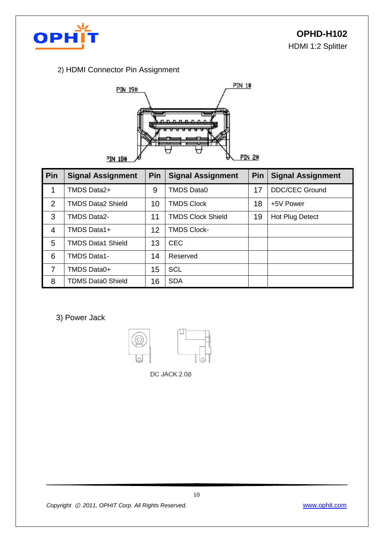

#### 2) HDMI Connector Pin Assignment



| Pin            | <b>Signal Assignment</b> | <b>Pin</b> | <b>Signal Assignment</b> | <b>Pin</b> | <b>Signal Assignment</b> |
|----------------|--------------------------|------------|--------------------------|------------|--------------------------|
| 1              | TMDS Data2+              | 9          | <b>TMDS Data0</b>        | 17         | <b>DDC/CEC Ground</b>    |
| $\overline{2}$ | <b>TMDS Data2 Shield</b> | 10         | <b>TMDS Clock</b>        | 18         | +5V Power                |
| 3              | <b>TMDS Data2-</b>       | 11         | <b>TMDS Clock Shield</b> | 19         | Hot Plug Detect          |
| 4              | TMDS Data1+              | 12         | <b>TMDS Clock-</b>       |            |                          |
| 5              | TMDS Data1 Shield        | 13         | <b>CEC</b>               |            |                          |
| 6              | TMDS Data1-              | 14         | Reserved                 |            |                          |
| $\overline{7}$ | TMDS Data0+              | 15         | <b>SCL</b>               |            |                          |
| 8              | <b>TDMS Data0 Shield</b> | 16         | <b>SDA</b>               |            |                          |

3) Power Jack



DC JACK 2.00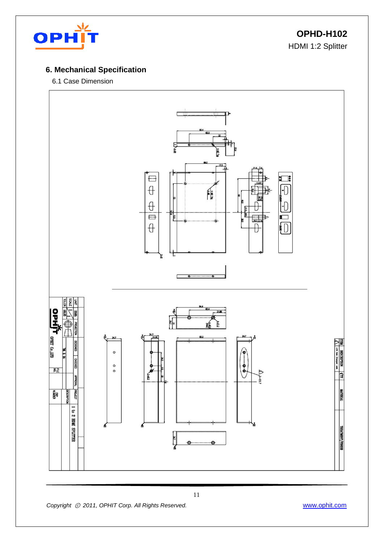

**OPHD-H102** HDMI 1:2 Splitter

#### **6. Mechanical Specification**

#### 6.1 Case Dimension